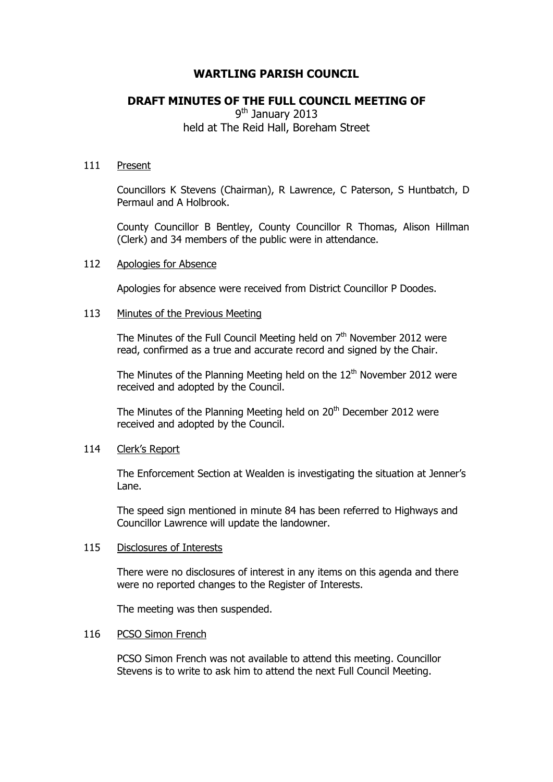# **WARTLING PARISH COUNCIL**

# **DRAFT MINUTES OF THE FULL COUNCIL MEETING OF**

9<sup>th</sup> January 2013 held at The Reid Hall, Boreham Street

### 111 Present

Councillors K Stevens (Chairman), R Lawrence, C Paterson, S Huntbatch, D Permaul and A Holbrook.

County Councillor B Bentley, County Councillor R Thomas, Alison Hillman (Clerk) and 34 members of the public were in attendance.

### 112 Apologies for Absence

Apologies for absence were received from District Councillor P Doodes.

## 113 Minutes of the Previous Meeting

The Minutes of the Full Council Meeting held on  $7<sup>th</sup>$  November 2012 were read, confirmed as a true and accurate record and signed by the Chair.

The Minutes of the Planning Meeting held on the  $12<sup>th</sup>$  November 2012 were received and adopted by the Council.

The Minutes of the Planning Meeting held on 20<sup>th</sup> December 2012 were received and adopted by the Council.

### 114 Clerk's Report

The Enforcement Section at Wealden is investigating the situation at Jenner's Lane.

The speed sign mentioned in minute 84 has been referred to Highways and Councillor Lawrence will update the landowner.

### 115 Disclosures of Interests

There were no disclosures of interest in any items on this agenda and there were no reported changes to the Register of Interests.

The meeting was then suspended.

### 116 PCSO Simon French

PCSO Simon French was not available to attend this meeting. Councillor Stevens is to write to ask him to attend the next Full Council Meeting.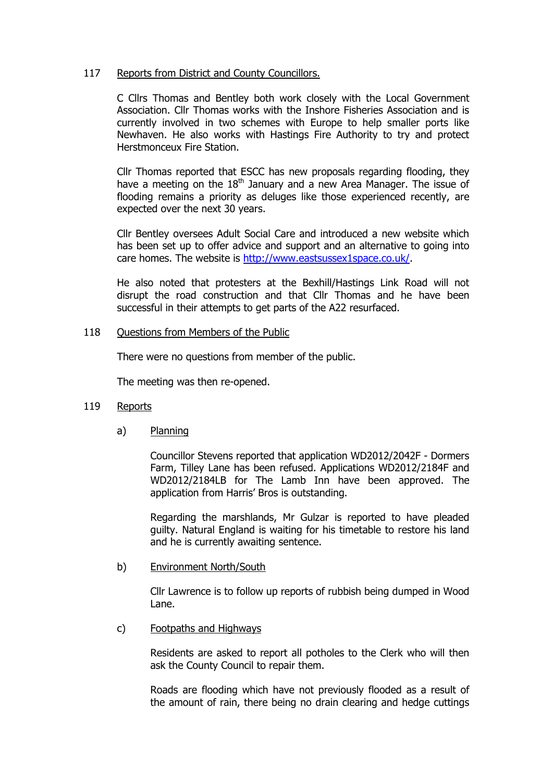## 117 Reports from District and County Councillors.

C Cllrs Thomas and Bentley both work closely with the Local Government Association. Cllr Thomas works with the Inshore Fisheries Association and is currently involved in two schemes with Europe to help smaller ports like Newhaven. He also works with Hastings Fire Authority to try and protect Herstmonceux Fire Station.

Cllr Thomas reported that ESCC has new proposals regarding flooding, they have a meeting on the  $18<sup>th</sup>$  January and a new Area Manager. The issue of flooding remains a priority as deluges like those experienced recently, are expected over the next 30 years.

Cllr Bentley oversees Adult Social Care and introduced a new website which has been set up to offer advice and support and an alternative to going into care homes. The website is [http://www.eastsussex1space.co.uk/.](http://www.eastsussex1space.co.uk/)

He also noted that protesters at the Bexhill/Hastings Link Road will not disrupt the road construction and that Cllr Thomas and he have been successful in their attempts to get parts of the A22 resurfaced.

## 118 Questions from Members of the Public

There were no questions from member of the public.

The meeting was then re-opened.

## 119 Reports

a) Planning

Councillor Stevens reported that application WD2012/2042F - Dormers Farm, Tilley Lane has been refused. Applications WD2012/2184F and WD2012/2184LB for The Lamb Inn have been approved. The application from Harris' Bros is outstanding.

Regarding the marshlands, Mr Gulzar is reported to have pleaded guilty. Natural England is waiting for his timetable to restore his land and he is currently awaiting sentence.

## b) Environment North/South

Cllr Lawrence is to follow up reports of rubbish being dumped in Wood Lane.

c) Footpaths and Highways

Residents are asked to report all potholes to the Clerk who will then ask the County Council to repair them.

Roads are flooding which have not previously flooded as a result of the amount of rain, there being no drain clearing and hedge cuttings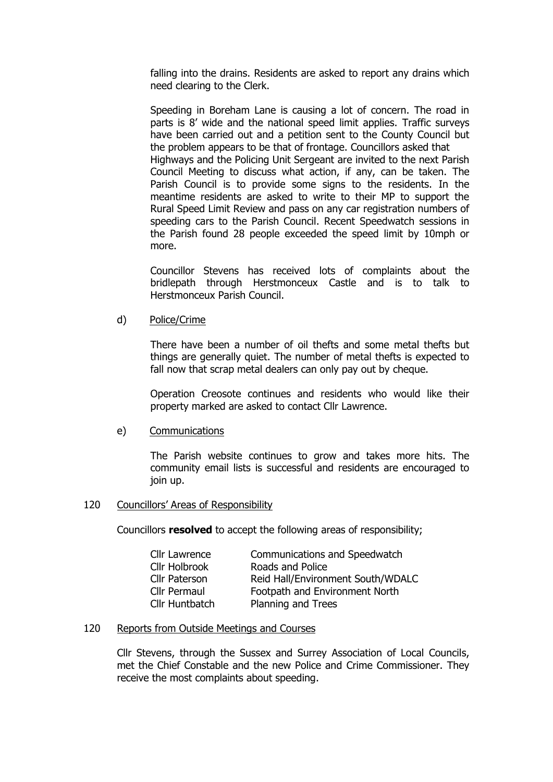falling into the drains. Residents are asked to report any drains which need clearing to the Clerk.

Speeding in Boreham Lane is causing a lot of concern. The road in parts is 8' wide and the national speed limit applies. Traffic surveys have been carried out and a petition sent to the County Council but the problem appears to be that of frontage. Councillors asked that Highways and the Policing Unit Sergeant are invited to the next Parish Council Meeting to discuss what action, if any, can be taken. The Parish Council is to provide some signs to the residents. In the meantime residents are asked to write to their MP to support the Rural Speed Limit Review and pass on any car registration numbers of speeding cars to the Parish Council. Recent Speedwatch sessions in the Parish found 28 people exceeded the speed limit by 10mph or more.

Councillor Stevens has received lots of complaints about the bridlepath through Herstmonceux Castle and is to talk to Herstmonceux Parish Council.

d) Police/Crime

There have been a number of oil thefts and some metal thefts but things are generally quiet. The number of metal thefts is expected to fall now that scrap metal dealers can only pay out by cheque.

Operation Creosote continues and residents who would like their property marked are asked to contact Cllr Lawrence.

### e) Communications

The Parish website continues to grow and takes more hits. The community email lists is successful and residents are encouraged to join up.

### 120 Councillors' Areas of Responsibility

Councillors **resolved** to accept the following areas of responsibility;

| Cllr Lawrence  | Communications and Speedwatch     |
|----------------|-----------------------------------|
| Cllr Holbrook  | Roads and Police                  |
| Cllr Paterson  | Reid Hall/Environment South/WDALC |
| Cllr Permaul   | Footpath and Environment North    |
| Cllr Huntbatch | Planning and Trees                |

### 120 Reports from Outside Meetings and Courses

Cllr Stevens, through the Sussex and Surrey Association of Local Councils, met the Chief Constable and the new Police and Crime Commissioner. They receive the most complaints about speeding.